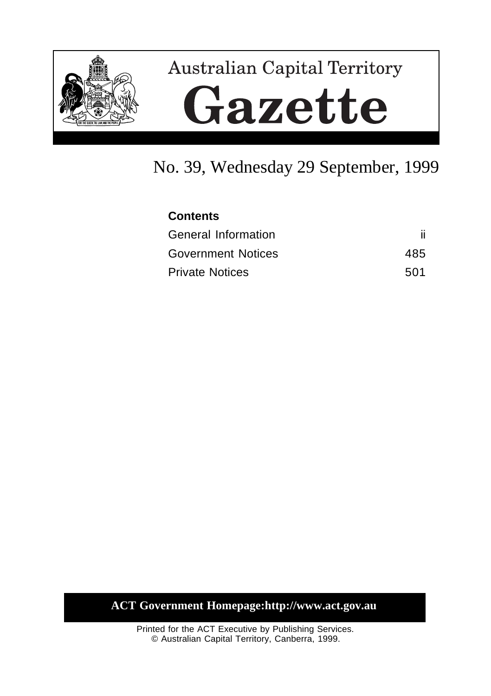

# **Australian Capital Territory** Gazette

## No. 39, Wednesday 29 September, 1999

| <b>Contents</b>           |     |
|---------------------------|-----|
| General Information       |     |
| <b>Government Notices</b> | 485 |
| <b>Private Notices</b>    | 501 |

**ACT Government Homepage:http://www.act.gov.au**

Printed for the ACT Executive by Publishing Services. © Australian Capital Territory, Canberra, 1999.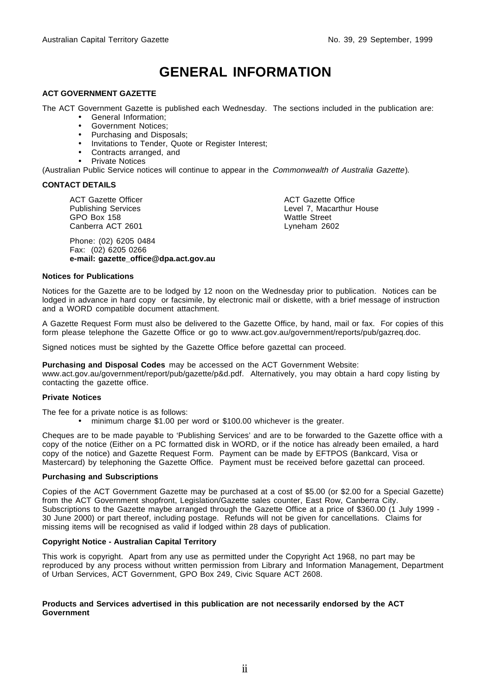## **GENERAL INFORMATION**

#### **ACT GOVERNMENT GAZETTE**

The ACT Government Gazette is published each Wednesday. The sections included in the publication are:

- General Information;
- Government Notices;
- Purchasing and Disposals;
- Invitations to Tender, Quote or Register Interest;
- Contracts arranged, and
- Private Notices

(Australian Public Service notices will continue to appear in the Commonwealth of Australia Gazette).

#### **CONTACT DETAILS**

ACT Gazette Officer Publishing Services GPO Box 158 Canberra ACT 2601

Phone: (02) 6205 0484 Fax: (02) 6205 0266 **e-mail: gazette\_office@dpa.act.gov.au** ACT Gazette Office Level 7, Macarthur House Wattle Street Lyneham 2602

#### **Notices for Publications**

Notices for the Gazette are to be lodged by 12 noon on the Wednesday prior to publication. Notices can be lodged in advance in hard copy or facsimile, by electronic mail or diskette, with a brief message of instruction and a WORD compatible document attachment.

A Gazette Request Form must also be delivered to the Gazette Office, by hand, mail or fax. For copies of this form please telephone the Gazette Office or go to www.act.gov.au/government/reports/pub/gazreq.doc.

Signed notices must be sighted by the Gazette Office before gazettal can proceed.

**Purchasing and Disposal Codes** may be accessed on the ACT Government Website:

www.act.gov.au/government/report/pub/gazette/p&d.pdf. Alternatively, you may obtain a hard copy listing by contacting the gazette office.

#### **Private Notices**

The fee for a private notice is as follows:

• minimum charge \$1.00 per word or \$100.00 whichever is the greater.

Cheques are to be made payable to 'Publishing Services' and are to be forwarded to the Gazette office with a copy of the notice (Either on a PC formatted disk in WORD, or if the notice has already been emailed, a hard copy of the notice) and Gazette Request Form. Payment can be made by EFTPOS (Bankcard, Visa or Mastercard) by telephoning the Gazette Office. Payment must be received before gazettal can proceed.

#### **Purchasing and Subscriptions**

Copies of the ACT Government Gazette may be purchased at a cost of \$5.00 (or \$2.00 for a Special Gazette) from the ACT Government shopfront, Legislation/Gazette sales counter, East Row, Canberra City. Subscriptions to the Gazette maybe arranged through the Gazette Office at a price of \$360.00 (1 July 1999 - 30 June 2000) or part thereof, including postage. Refunds will not be given for cancellations. Claims for missing items will be recognised as valid if lodged within 28 days of publication.

#### **Copyright Notice - Australian Capital Territory**

This work is copyright. Apart from any use as permitted under the Copyright Act 1968, no part may be reproduced by any process without written permission from Library and Information Management, Department of Urban Services, ACT Government, GPO Box 249, Civic Square ACT 2608.

#### **Products and Services advertised in this publication are not necessarily endorsed by the ACT Government**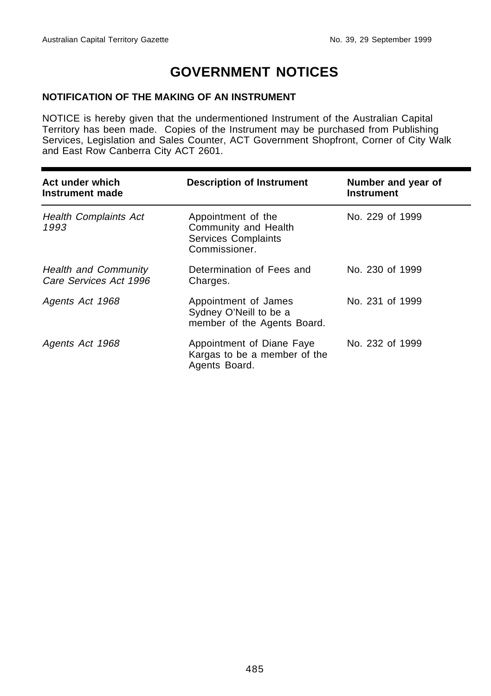## **GOVERNMENT NOTICES**

#### **NOTIFICATION OF THE MAKING OF AN INSTRUMENT**

NOTICE is hereby given that the undermentioned Instrument of the Australian Capital Territory has been made. Copies of the Instrument may be purchased from Publishing Services, Legislation and Sales Counter, ACT Government Shopfront, Corner of City Walk and East Row Canberra City ACT 2601.

| Act under which<br>Instrument made                    | <b>Description of Instrument</b>                                                          | Number and year of<br><b>Instrument</b> |
|-------------------------------------------------------|-------------------------------------------------------------------------------------------|-----------------------------------------|
| <b>Health Complaints Act</b><br>1993                  | Appointment of the<br>Community and Health<br><b>Services Complaints</b><br>Commissioner. | No. 229 of 1999                         |
| <b>Health and Community</b><br>Care Services Act 1996 | Determination of Fees and<br>Charges.                                                     | No. 230 of 1999                         |
| Agents Act 1968                                       | Appointment of James<br>Sydney O'Neill to be a<br>member of the Agents Board.             | No. 231 of 1999                         |
| Agents Act 1968                                       | Appointment of Diane Faye<br>Kargas to be a member of the<br>Agents Board.                | No. 232 of 1999                         |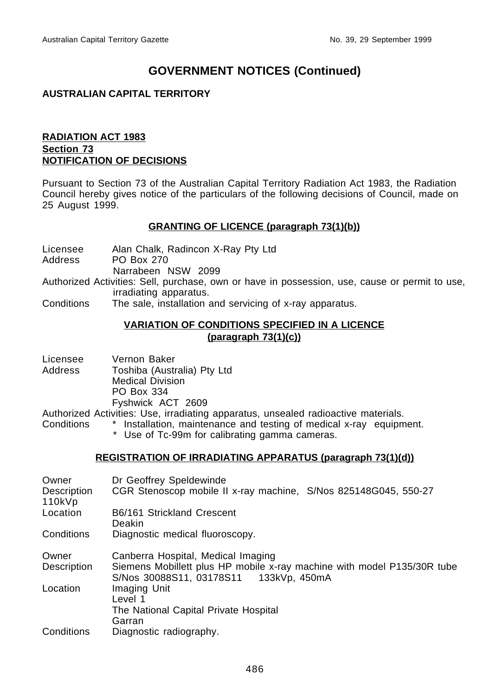#### **AUSTRALIAN CAPITAL TERRITORY**

#### **RADIATION ACT 1983 Section 73 NOTIFICATION OF DECISIONS**

Pursuant to Section 73 of the Australian Capital Territory Radiation Act 1983, the Radiation Council hereby gives notice of the particulars of the following decisions of Council, made on 25 August 1999.

#### **GRANTING OF LICENCE (paragraph 73(1)(b))**

Licensee Alan Chalk, Radincon X-Ray Pty Ltd PO Box 270

Narrabeen NSW 2099

Authorized Activities: Sell, purchase, own or have in possession, use, cause or permit to use, irradiating apparatus.

Conditions The sale, installation and servicing of x-ray apparatus.

#### **VARIATION OF CONDITIONS SPECIFIED IN A LICENCE (paragraph 73(1)(c))**

| Licensee | Vernon Baker                |
|----------|-----------------------------|
| Address  | Toshiba (Australia) Pty Ltd |
|          | <b>Medical Division</b>     |
|          | <b>PO Box 334</b>           |
|          | Fyshwick ACT 2609           |

Authorized Activities: Use, irradiating apparatus, unsealed radioactive materials.

- Conditions \* Installation, maintenance and testing of medical x-ray equipment.
	- \* Use of Tc-99m for calibrating gamma cameras.

#### **REGISTRATION OF IRRADIATING APPARATUS (paragraph 73(1)(d))**

| Owner                 | Dr Geoffrey Speldewinde                                                                                           |
|-----------------------|-------------------------------------------------------------------------------------------------------------------|
| Description<br>110kVp | CGR Stenoscop mobile II x-ray machine, S/Nos 825148G045, 550-27                                                   |
| Location              | B6/161 Strickland Crescent<br>Deakin                                                                              |
| Conditions            | Diagnostic medical fluoroscopy.                                                                                   |
| Owner                 | Canberra Hospital, Medical Imaging                                                                                |
| Description           | Siemens Mobillett plus HP mobile x-ray machine with model P135/30R tube<br>S/Nos 30088S11, 03178S11 133kVp, 450mA |
| Location              | Imaging Unit                                                                                                      |
|                       | Level 1                                                                                                           |
|                       | The National Capital Private Hospital                                                                             |
|                       | Garran                                                                                                            |
| Conditions            | Diagnostic radiography.                                                                                           |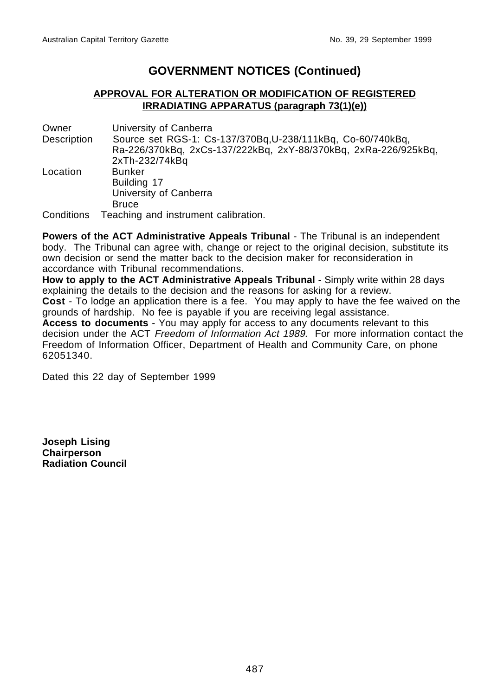#### **APPROVAL FOR ALTERATION OR MODIFICATION OF REGISTERED IRRADIATING APPARATUS (paragraph 73(1)(e))**

Owner University of Canberra Description Source set RGS-1: Cs-137/370Bq,U-238/111kBq, Co-60/740kBq, Ra-226/370kBq, 2xCs-137/222kBq, 2xY-88/370kBq, 2xRa-226/925kBq, 2xTh-232/74kBq Location Bunker Building 17 University of Canberra Bruce Conditions Teaching and instrument calibration.

**Powers of the ACT Administrative Appeals Tribunal** - The Tribunal is an independent body. The Tribunal can agree with, change or reject to the original decision, substitute its own decision or send the matter back to the decision maker for reconsideration in accordance with Tribunal recommendations.

**How to apply to the ACT Administrative Appeals Tribunal** - Simply write within 28 days explaining the details to the decision and the reasons for asking for a review. **Cost** - To lodge an application there is a fee. You may apply to have the fee waived on the grounds of hardship. No fee is payable if you are receiving legal assistance.

**Access to documents** - You may apply for access to any documents relevant to this decision under the ACT *Freedom of Information Act 1989*. For more information contact the Freedom of Information Officer, Department of Health and Community Care, on phone 62051340.

Dated this 22 day of September 1999

**Joseph Lising Chairperson Radiation Council**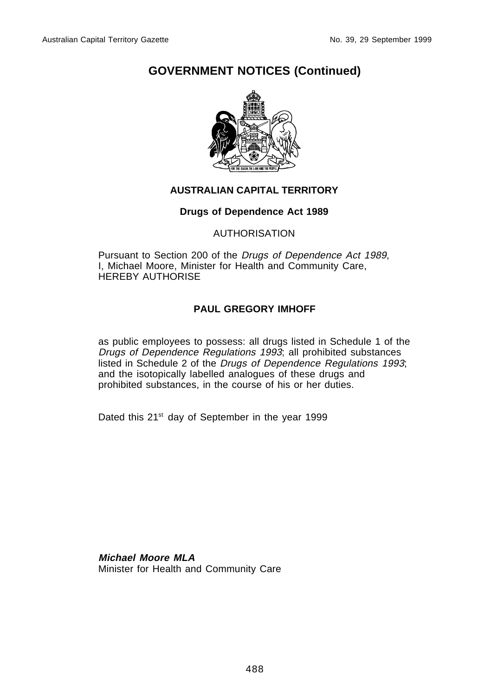

#### **AUSTRALIAN CAPITAL TERRITORY**

#### **Drugs of Dependence Act 1989**

#### AUTHORISATION

Pursuant to Section 200 of the Drugs of Dependence Act 1989, I, Michael Moore, Minister for Health and Community Care, HEREBY AUTHORISE

#### **PAUL GREGORY IMHOFF**

as public employees to possess: all drugs listed in Schedule 1 of the Drugs of Dependence Regulations 1993; all prohibited substances listed in Schedule 2 of the Drugs of Dependence Regulations 1993; and the isotopically labelled analogues of these drugs and prohibited substances, in the course of his or her duties.

Dated this 21<sup>st</sup> day of September in the year 1999

**Michael Moore MLA** Minister for Health and Community Care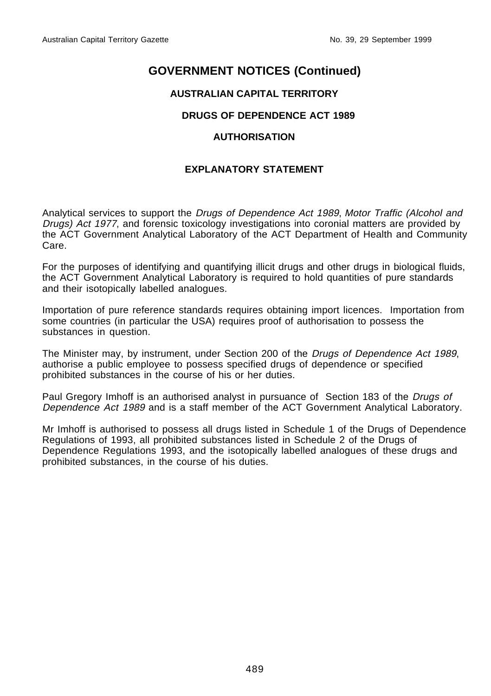#### **AUSTRALIAN CAPITAL TERRITORY**

#### **DRUGS OF DEPENDENCE ACT 1989**

#### **AUTHORISATION**

#### **EXPLANATORY STATEMENT**

Analytical services to support the Drugs of Dependence Act 1989, Motor Traffic (Alcohol and Drugs) Act 1977, and forensic toxicology investigations into coronial matters are provided by the ACT Government Analytical Laboratory of the ACT Department of Health and Community Care.

For the purposes of identifying and quantifying illicit drugs and other drugs in biological fluids, the ACT Government Analytical Laboratory is required to hold quantities of pure standards and their isotopically labelled analogues.

Importation of pure reference standards requires obtaining import licences. Importation from some countries (in particular the USA) requires proof of authorisation to possess the substances in question.

The Minister may, by instrument, under Section 200 of the Drugs of Dependence Act 1989, authorise a public employee to possess specified drugs of dependence or specified prohibited substances in the course of his or her duties.

Paul Gregory Imhoff is an authorised analyst in pursuance of Section 183 of the Drugs of Dependence Act 1989 and is a staff member of the ACT Government Analytical Laboratory.

Mr Imhoff is authorised to possess all drugs listed in Schedule 1 of the Drugs of Dependence Regulations of 1993, all prohibited substances listed in Schedule 2 of the Drugs of Dependence Regulations 1993, and the isotopically labelled analogues of these drugs and prohibited substances, in the course of his duties.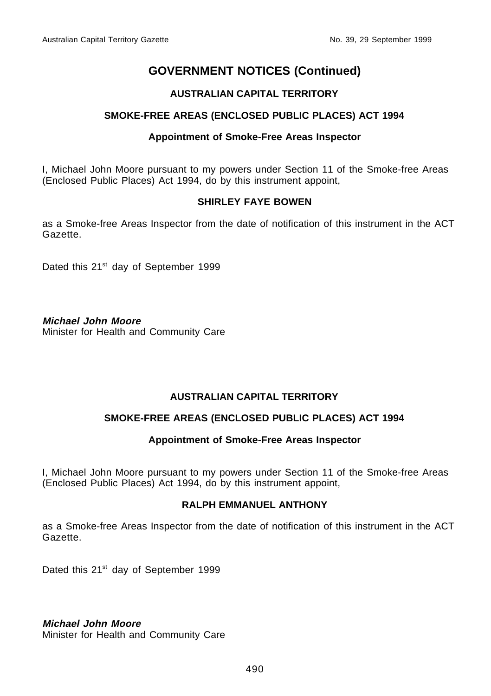#### **AUSTRALIAN CAPITAL TERRITORY**

#### **SMOKE-FREE AREAS (ENCLOSED PUBLIC PLACES) ACT 1994**

#### **Appointment of Smoke-Free Areas Inspector**

I, Michael John Moore pursuant to my powers under Section 11 of the Smoke-free Areas (Enclosed Public Places) Act 1994, do by this instrument appoint,

#### **SHIRLEY FAYE BOWEN**

as a Smoke-free Areas Inspector from the date of notification of this instrument in the ACT Gazette.

Dated this 21<sup>st</sup> day of September 1999

#### **Michael John Moore**

Minister for Health and Community Care

#### **AUSTRALIAN CAPITAL TERRITORY**

#### **SMOKE-FREE AREAS (ENCLOSED PUBLIC PLACES) ACT 1994**

#### **Appointment of Smoke-Free Areas Inspector**

I, Michael John Moore pursuant to my powers under Section 11 of the Smoke-free Areas (Enclosed Public Places) Act 1994, do by this instrument appoint,

#### **RALPH EMMANUEL ANTHONY**

as a Smoke-free Areas Inspector from the date of notification of this instrument in the ACT Gazette.

Dated this 21<sup>st</sup> day of September 1999

**Michael John Moore**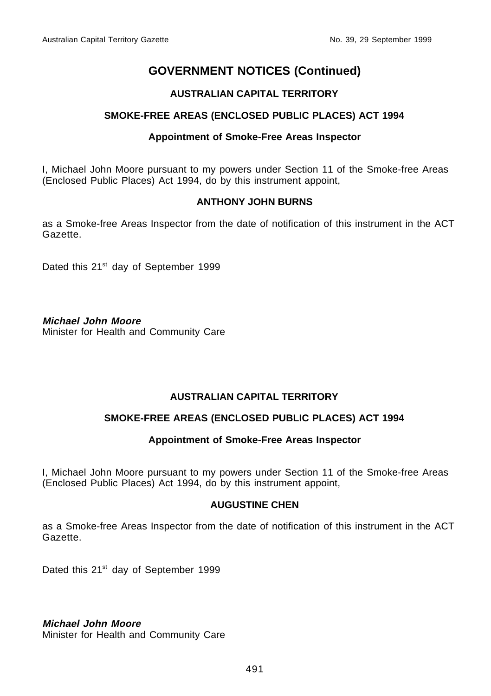#### **AUSTRALIAN CAPITAL TERRITORY**

#### **SMOKE-FREE AREAS (ENCLOSED PUBLIC PLACES) ACT 1994**

#### **Appointment of Smoke-Free Areas Inspector**

I, Michael John Moore pursuant to my powers under Section 11 of the Smoke-free Areas (Enclosed Public Places) Act 1994, do by this instrument appoint,

#### **ANTHONY JOHN BURNS**

as a Smoke-free Areas Inspector from the date of notification of this instrument in the ACT Gazette.

Dated this 21<sup>st</sup> day of September 1999

#### **Michael John Moore**

Minister for Health and Community Care

#### **AUSTRALIAN CAPITAL TERRITORY**

#### **SMOKE-FREE AREAS (ENCLOSED PUBLIC PLACES) ACT 1994**

#### **Appointment of Smoke-Free Areas Inspector**

I, Michael John Moore pursuant to my powers under Section 11 of the Smoke-free Areas (Enclosed Public Places) Act 1994, do by this instrument appoint,

#### **AUGUSTINE CHEN**

as a Smoke-free Areas Inspector from the date of notification of this instrument in the ACT Gazette.

Dated this 21<sup>st</sup> day of September 1999

**Michael John Moore**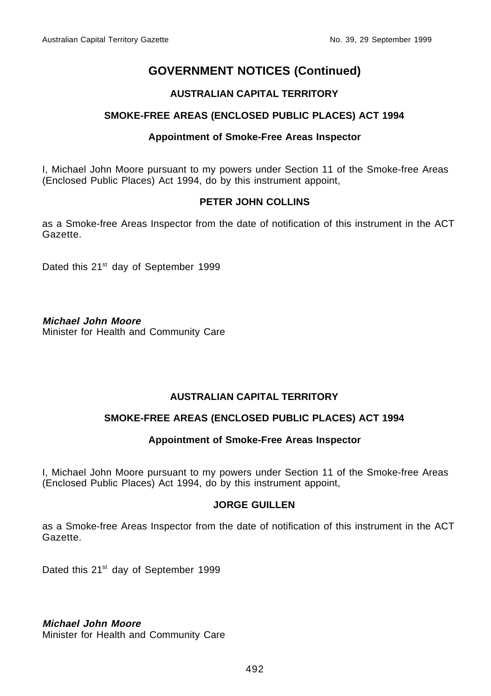#### **AUSTRALIAN CAPITAL TERRITORY**

#### **SMOKE-FREE AREAS (ENCLOSED PUBLIC PLACES) ACT 1994**

#### **Appointment of Smoke-Free Areas Inspector**

I, Michael John Moore pursuant to my powers under Section 11 of the Smoke-free Areas (Enclosed Public Places) Act 1994, do by this instrument appoint,

#### **PETER JOHN COLLINS**

as a Smoke-free Areas Inspector from the date of notification of this instrument in the ACT Gazette.

Dated this 21<sup>st</sup> day of September 1999

#### **Michael John Moore**

Minister for Health and Community Care

#### **AUSTRALIAN CAPITAL TERRITORY**

#### **SMOKE-FREE AREAS (ENCLOSED PUBLIC PLACES) ACT 1994**

#### **Appointment of Smoke-Free Areas Inspector**

I, Michael John Moore pursuant to my powers under Section 11 of the Smoke-free Areas (Enclosed Public Places) Act 1994, do by this instrument appoint,

#### **JORGE GUILLEN**

as a Smoke-free Areas Inspector from the date of notification of this instrument in the ACT Gazette.

Dated this 21<sup>st</sup> day of September 1999

**Michael John Moore**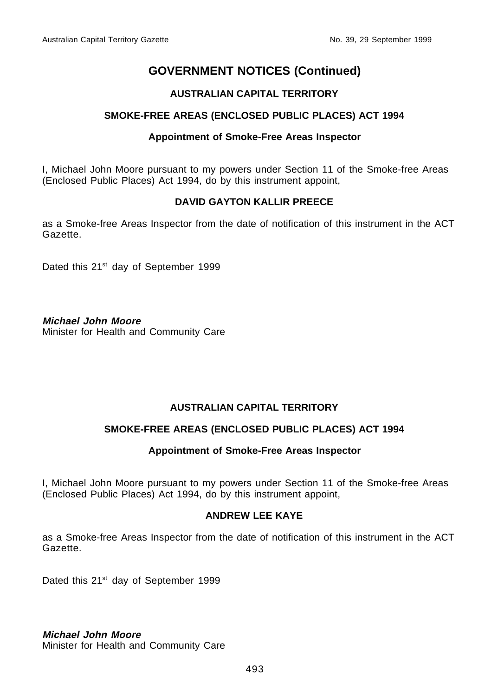#### **AUSTRALIAN CAPITAL TERRITORY**

#### **SMOKE-FREE AREAS (ENCLOSED PUBLIC PLACES) ACT 1994**

#### **Appointment of Smoke-Free Areas Inspector**

I, Michael John Moore pursuant to my powers under Section 11 of the Smoke-free Areas (Enclosed Public Places) Act 1994, do by this instrument appoint,

#### **DAVID GAYTON KALLIR PREECE**

as a Smoke-free Areas Inspector from the date of notification of this instrument in the ACT Gazette.

Dated this 21<sup>st</sup> day of September 1999

#### **Michael John Moore**

Minister for Health and Community Care

#### **AUSTRALIAN CAPITAL TERRITORY**

#### **SMOKE-FREE AREAS (ENCLOSED PUBLIC PLACES) ACT 1994**

#### **Appointment of Smoke-Free Areas Inspector**

I, Michael John Moore pursuant to my powers under Section 11 of the Smoke-free Areas (Enclosed Public Places) Act 1994, do by this instrument appoint,

#### **ANDREW LEE KAYE**

as a Smoke-free Areas Inspector from the date of notification of this instrument in the ACT Gazette.

Dated this 21<sup>st</sup> day of September 1999

**Michael John Moore**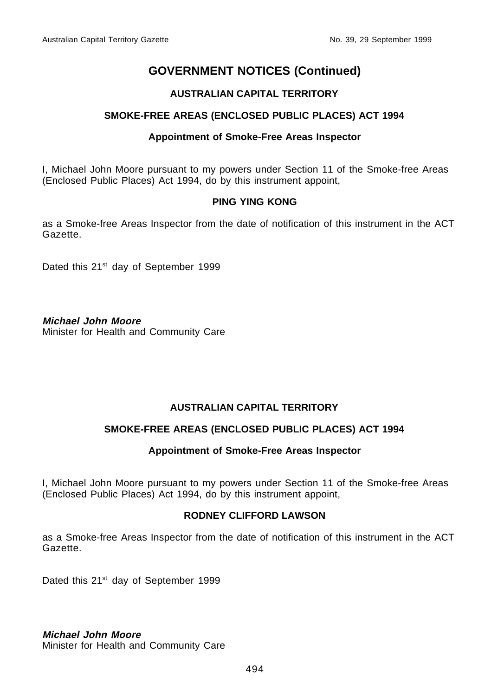#### **AUSTRALIAN CAPITAL TERRITORY**

#### **SMOKE-FREE AREAS (ENCLOSED PUBLIC PLACES) ACT 1994**

#### **Appointment of Smoke-Free Areas Inspector**

I, Michael John Moore pursuant to my powers under Section 11 of the Smoke-free Areas (Enclosed Public Places) Act 1994, do by this instrument appoint,

#### **PING YING KONG**

as a Smoke-free Areas Inspector from the date of notification of this instrument in the ACT Gazette.

Dated this 21<sup>st</sup> day of September 1999

**Michael John Moore**

Minister for Health and Community Care

#### **AUSTRALIAN CAPITAL TERRITORY**

#### **SMOKE-FREE AREAS (ENCLOSED PUBLIC PLACES) ACT 1994**

#### **Appointment of Smoke-Free Areas Inspector**

I, Michael John Moore pursuant to my powers under Section 11 of the Smoke-free Areas (Enclosed Public Places) Act 1994, do by this instrument appoint,

#### **RODNEY CLIFFORD LAWSON**

as a Smoke-free Areas Inspector from the date of notification of this instrument in the ACT Gazette.

Dated this 21<sup>st</sup> day of September 1999

**Michael John Moore**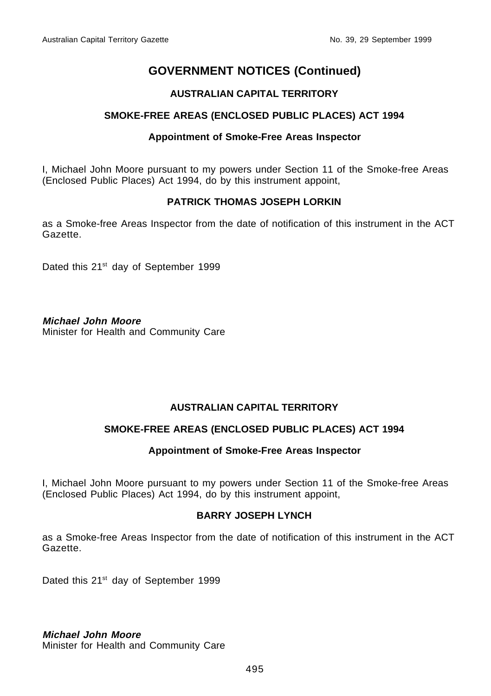#### **AUSTRALIAN CAPITAL TERRITORY**

#### **SMOKE-FREE AREAS (ENCLOSED PUBLIC PLACES) ACT 1994**

#### **Appointment of Smoke-Free Areas Inspector**

I, Michael John Moore pursuant to my powers under Section 11 of the Smoke-free Areas (Enclosed Public Places) Act 1994, do by this instrument appoint,

#### **PATRICK THOMAS JOSEPH LORKIN**

as a Smoke-free Areas Inspector from the date of notification of this instrument in the ACT Gazette.

Dated this 21<sup>st</sup> day of September 1999

#### **Michael John Moore**

Minister for Health and Community Care

#### **AUSTRALIAN CAPITAL TERRITORY**

#### **SMOKE-FREE AREAS (ENCLOSED PUBLIC PLACES) ACT 1994**

#### **Appointment of Smoke-Free Areas Inspector**

I, Michael John Moore pursuant to my powers under Section 11 of the Smoke-free Areas (Enclosed Public Places) Act 1994, do by this instrument appoint,

#### **BARRY JOSEPH LYNCH**

as a Smoke-free Areas Inspector from the date of notification of this instrument in the ACT Gazette.

Dated this 21<sup>st</sup> day of September 1999

**Michael John Moore**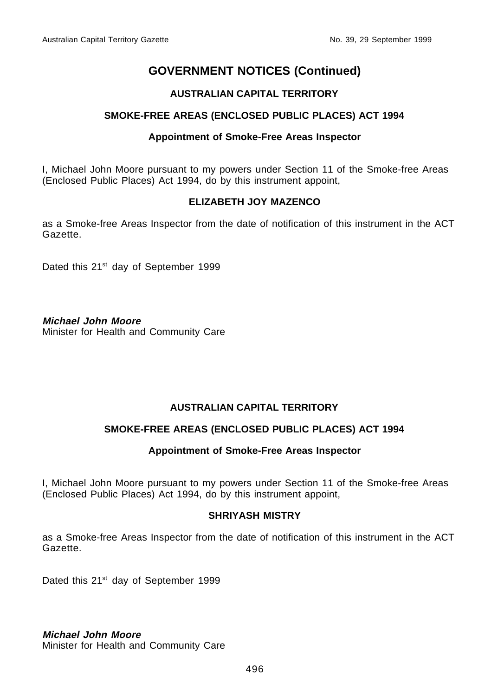#### **AUSTRALIAN CAPITAL TERRITORY**

#### **SMOKE-FREE AREAS (ENCLOSED PUBLIC PLACES) ACT 1994**

#### **Appointment of Smoke-Free Areas Inspector**

I, Michael John Moore pursuant to my powers under Section 11 of the Smoke-free Areas (Enclosed Public Places) Act 1994, do by this instrument appoint,

#### **ELIZABETH JOY MAZENCO**

as a Smoke-free Areas Inspector from the date of notification of this instrument in the ACT Gazette.

Dated this 21<sup>st</sup> day of September 1999

#### **Michael John Moore**

Minister for Health and Community Care

#### **AUSTRALIAN CAPITAL TERRITORY**

#### **SMOKE-FREE AREAS (ENCLOSED PUBLIC PLACES) ACT 1994**

#### **Appointment of Smoke-Free Areas Inspector**

I, Michael John Moore pursuant to my powers under Section 11 of the Smoke-free Areas (Enclosed Public Places) Act 1994, do by this instrument appoint,

#### **SHRIYASH MISTRY**

as a Smoke-free Areas Inspector from the date of notification of this instrument in the ACT Gazette.

Dated this 21<sup>st</sup> day of September 1999

**Michael John Moore**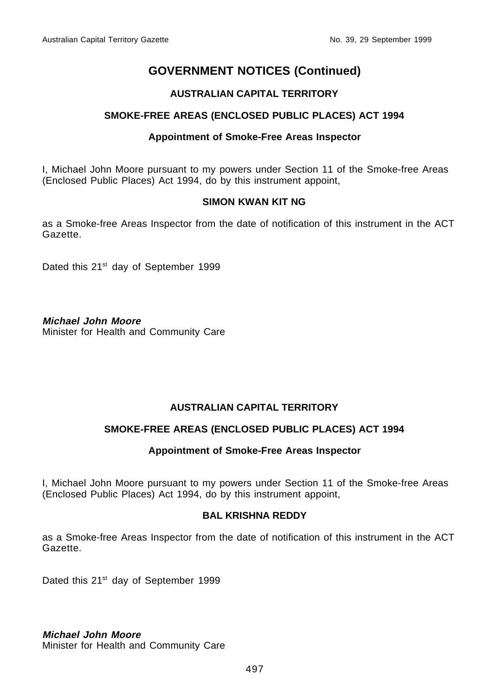#### **AUSTRALIAN CAPITAL TERRITORY**

#### **SMOKE-FREE AREAS (ENCLOSED PUBLIC PLACES) ACT 1994**

#### **Appointment of Smoke-Free Areas Inspector**

I, Michael John Moore pursuant to my powers under Section 11 of the Smoke-free Areas (Enclosed Public Places) Act 1994, do by this instrument appoint,

#### **SIMON KWAN KIT NG**

as a Smoke-free Areas Inspector from the date of notification of this instrument in the ACT Gazette.

Dated this 21<sup>st</sup> day of September 1999

#### **Michael John Moore**

Minister for Health and Community Care

#### **AUSTRALIAN CAPITAL TERRITORY**

#### **SMOKE-FREE AREAS (ENCLOSED PUBLIC PLACES) ACT 1994**

#### **Appointment of Smoke-Free Areas Inspector**

I, Michael John Moore pursuant to my powers under Section 11 of the Smoke-free Areas (Enclosed Public Places) Act 1994, do by this instrument appoint,

#### **BAL KRISHNA REDDY**

as a Smoke-free Areas Inspector from the date of notification of this instrument in the ACT Gazette.

Dated this 21<sup>st</sup> day of September 1999

**Michael John Moore**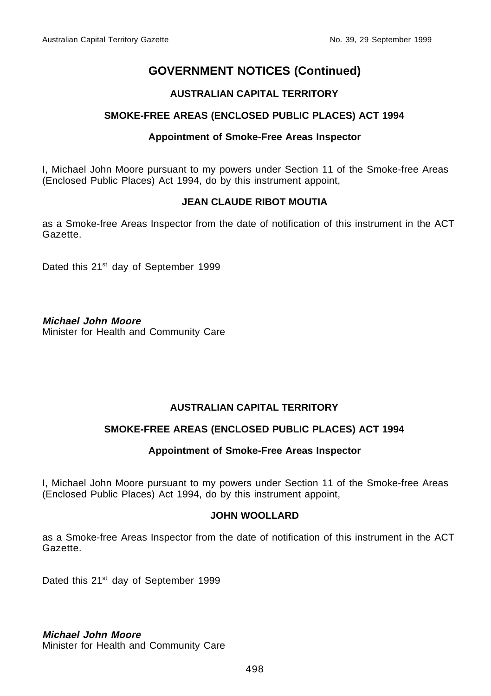#### **AUSTRALIAN CAPITAL TERRITORY**

#### **SMOKE-FREE AREAS (ENCLOSED PUBLIC PLACES) ACT 1994**

#### **Appointment of Smoke-Free Areas Inspector**

I, Michael John Moore pursuant to my powers under Section 11 of the Smoke-free Areas (Enclosed Public Places) Act 1994, do by this instrument appoint,

#### **JEAN CLAUDE RIBOT MOUTIA**

as a Smoke-free Areas Inspector from the date of notification of this instrument in the ACT Gazette.

Dated this 21<sup>st</sup> day of September 1999

#### **Michael John Moore**

Minister for Health and Community Care

#### **AUSTRALIAN CAPITAL TERRITORY**

#### **SMOKE-FREE AREAS (ENCLOSED PUBLIC PLACES) ACT 1994**

#### **Appointment of Smoke-Free Areas Inspector**

I, Michael John Moore pursuant to my powers under Section 11 of the Smoke-free Areas (Enclosed Public Places) Act 1994, do by this instrument appoint,

#### **JOHN WOOLLARD**

as a Smoke-free Areas Inspector from the date of notification of this instrument in the ACT Gazette.

Dated this 21<sup>st</sup> day of September 1999

**Michael John Moore**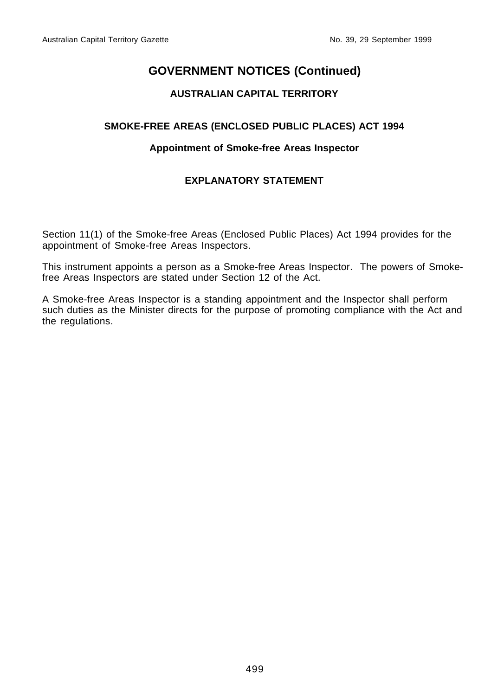#### **AUSTRALIAN CAPITAL TERRITORY**

#### **SMOKE-FREE AREAS (ENCLOSED PUBLIC PLACES) ACT 1994**

#### **Appointment of Smoke-free Areas Inspector**

## **EXPLANATORY STATEMENT**

Section 11(1) of the Smoke-free Areas (Enclosed Public Places) Act 1994 provides for the appointment of Smoke-free Areas Inspectors.

This instrument appoints a person as a Smoke-free Areas Inspector. The powers of Smokefree Areas Inspectors are stated under Section 12 of the Act.

A Smoke-free Areas Inspector is a standing appointment and the Inspector shall perform such duties as the Minister directs for the purpose of promoting compliance with the Act and the regulations.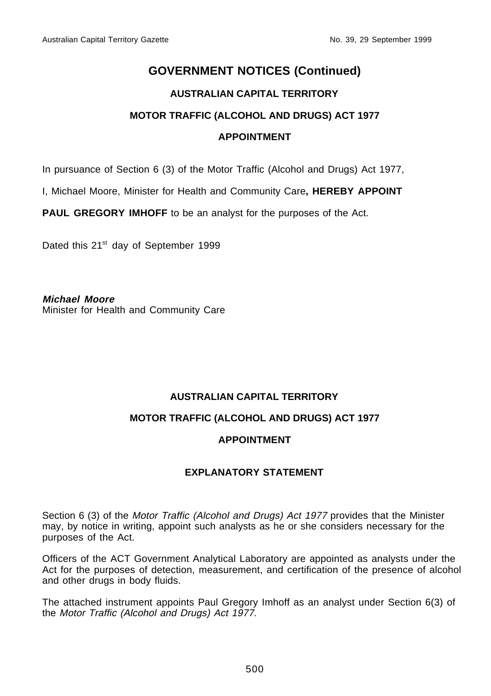#### **AUSTRALIAN CAPITAL TERRITORY**

#### **MOTOR TRAFFIC (ALCOHOL AND DRUGS) ACT 1977**

#### **APPOINTMENT**

In pursuance of Section 6 (3) of the Motor Traffic (Alcohol and Drugs) Act 1977,

I, Michael Moore, Minister for Health and Community Care**, HEREBY APPOINT**

PAUL GREGORY IMHOFF to be an analyst for the purposes of the Act.

Dated this 21<sup>st</sup> day of September 1999

**Michael Moore** Minister for Health and Community Care

#### **AUSTRALIAN CAPITAL TERRITORY**

#### **MOTOR TRAFFIC (ALCOHOL AND DRUGS) ACT 1977**

#### **APPOINTMENT**

#### **EXPLANATORY STATEMENT**

Section 6 (3) of the Motor Traffic (Alcohol and Drugs) Act 1977 provides that the Minister may, by notice in writing, appoint such analysts as he or she considers necessary for the purposes of the Act.

Officers of the ACT Government Analytical Laboratory are appointed as analysts under the Act for the purposes of detection, measurement, and certification of the presence of alcohol and other drugs in body fluids.

The attached instrument appoints Paul Gregory Imhoff as an analyst under Section 6(3) of the Motor Traffic (Alcohol and Drugs) Act 1977.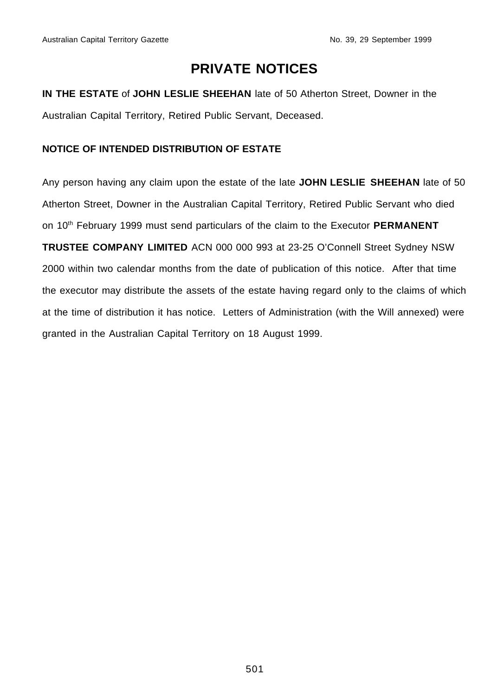## **PRIVATE NOTICES**

**IN THE ESTATE** of **JOHN LESLIE SHEEHAN** late of 50 Atherton Street, Downer in the Australian Capital Territory, Retired Public Servant, Deceased.

#### **NOTICE OF INTENDED DISTRIBUTION OF ESTATE**

Any person having any claim upon the estate of the late **JOHN LESLIE SHEEHAN** late of 50 Atherton Street, Downer in the Australian Capital Territory, Retired Public Servant who died on 10<sup>th</sup> February 1999 must send particulars of the claim to the Executor **PERMANENT TRUSTEE COMPANY LIMITED** ACN 000 000 993 at 23-25 O'Connell Street Sydney NSW 2000 within two calendar months from the date of publication of this notice. After that time the executor may distribute the assets of the estate having regard only to the claims of which at the time of distribution it has notice. Letters of Administration (with the Will annexed) were granted in the Australian Capital Territory on 18 August 1999.